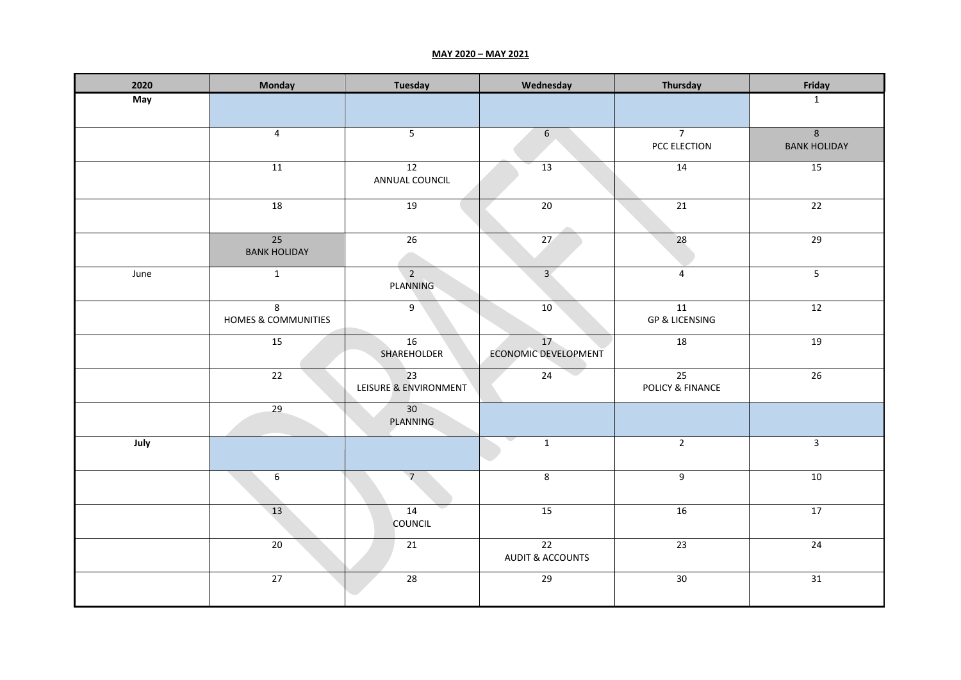## **MAY 2020 – MAY 2021**

| 2020 | Monday                    | <b>Tuesday</b>                           | Wednesday                         | Thursday                        | Friday                                |
|------|---------------------------|------------------------------------------|-----------------------------------|---------------------------------|---------------------------------------|
| May  |                           |                                          |                                   |                                 | $\mathbf{1}$                          |
|      | $\overline{4}$            | $\overline{\mathbf{5}}$                  | $\sqrt{6}$                        | $\overline{7}$<br>PCC ELECTION  | $\overline{8}$<br><b>BANK HOLIDAY</b> |
|      | 11                        | 12<br>ANNUAL COUNCIL                     | 13                                | 14                              | 15                                    |
|      | 18                        | 19                                       | $\overline{20}$                   | 21                              | 22                                    |
|      | 25<br><b>BANK HOLIDAY</b> | 26                                       | 27                                | 28                              | 29                                    |
| June | $\mathbf{1}$              | $\overline{2}$<br>PLANNING               | 3 <sup>7</sup>                    | $\overline{4}$                  | $5\phantom{.0}$                       |
|      | 8<br>HOMES & COMMUNITIES  | 9                                        | 10                                | 11<br><b>GP &amp; LICENSING</b> | $\overline{12}$                       |
|      | 15                        | 16<br>SHAREHOLDER                        | 17<br><b>ECONOMIC DEVELOPMENT</b> | 18                              | 19                                    |
|      | 22                        | $\overline{23}$<br>LEISURE & ENVIRONMENT | $\overline{24}$                   | 25<br>POLICY & FINANCE          | $\overline{26}$                       |
|      | $\overline{29}$           | 30<br>PLANNING                           |                                   |                                 |                                       |
| July |                           |                                          | $\mathbf{1}$                      | $\overline{2}$                  | $\mathbf{3}$                          |
|      | $6\,$                     | $\overline{7}$                           | 8                                 | 9                               | 10                                    |
|      | 13                        | 14<br><b>COUNCIL</b>                     | 15                                | 16                              | 17                                    |
|      | 20                        | 21                                       | 22<br><b>AUDIT &amp; ACCOUNTS</b> | $\overline{23}$                 | $\overline{24}$                       |
|      | 27                        | 28                                       | 29                                | 30                              | 31                                    |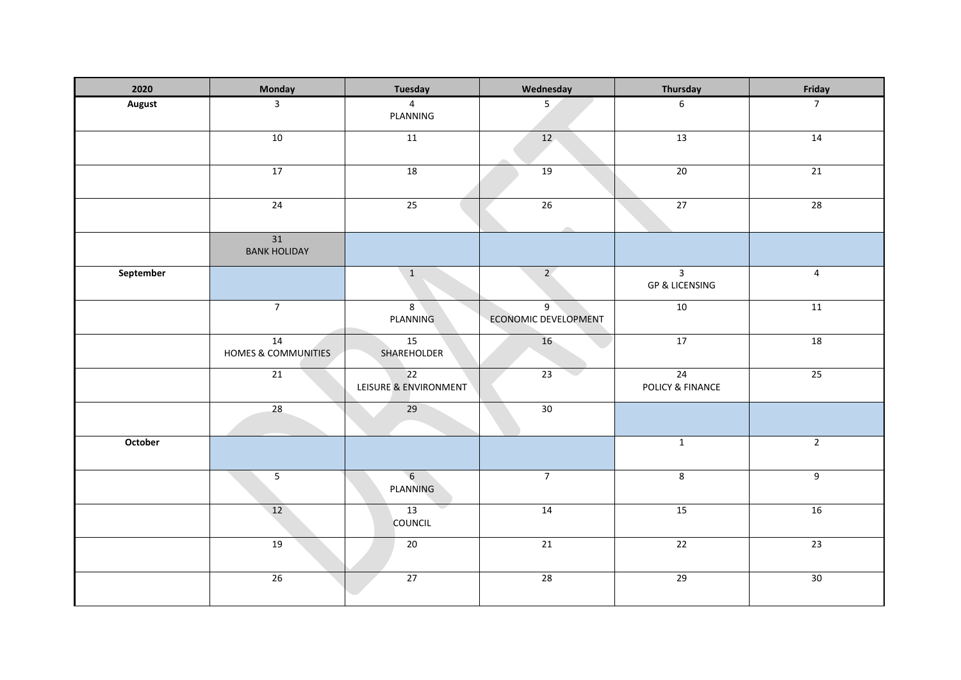| 2020      | Monday                               | Tuesday                           | Wednesday                                     | Thursday                                    | Friday         |
|-----------|--------------------------------------|-----------------------------------|-----------------------------------------------|---------------------------------------------|----------------|
| August    | $\overline{3}$                       | $\overline{4}$<br>PLANNING        | 5 <sup>5</sup>                                | $\boldsymbol{6}$                            | $\overline{7}$ |
|           | 10                                   | 11                                | 12 <sub>1</sub>                               | 13                                          | 14             |
|           | 17                                   | 18                                | 19                                            | 20                                          | 21             |
|           | 24                                   | 25                                | 26                                            | 27                                          | 28             |
|           | 31<br><b>BANK HOLIDAY</b>            |                                   |                                               |                                             |                |
| September |                                      | $\mathbf{1}$                      | 2 <sup>7</sup>                                | $\overline{3}$<br><b>GP &amp; LICENSING</b> | $\overline{4}$ |
|           | $\overline{7}$                       | 8 <sup>1</sup><br><b>PLANNING</b> | 9 <sup>1</sup><br><b>ECONOMIC DEVELOPMENT</b> | 10                                          | 11             |
|           | 14<br><b>HOMES &amp; COMMUNITIES</b> | 15<br>SHAREHOLDER                 | 16                                            | 17                                          | 18             |
|           | 21                                   | 22<br>LEISURE & ENVIRONMENT       | $\overline{23}$                               | 24<br>POLICY & FINANCE                      | 25             |
|           | 28                                   | 29                                | 30                                            |                                             |                |
| October   |                                      |                                   |                                               | $\mathbf{1}$                                | $\overline{2}$ |
|           | $\overline{5}$                       | 6<br>PLANNING                     | $\overline{7}$                                | $\infty$                                    | 9              |
|           | 12                                   | 13<br>COUNCIL                     | 14                                            | 15                                          | 16             |
|           | 19                                   | 20                                | 21                                            | 22                                          | 23             |
|           | 26                                   | 27                                | 28                                            | 29                                          | 30             |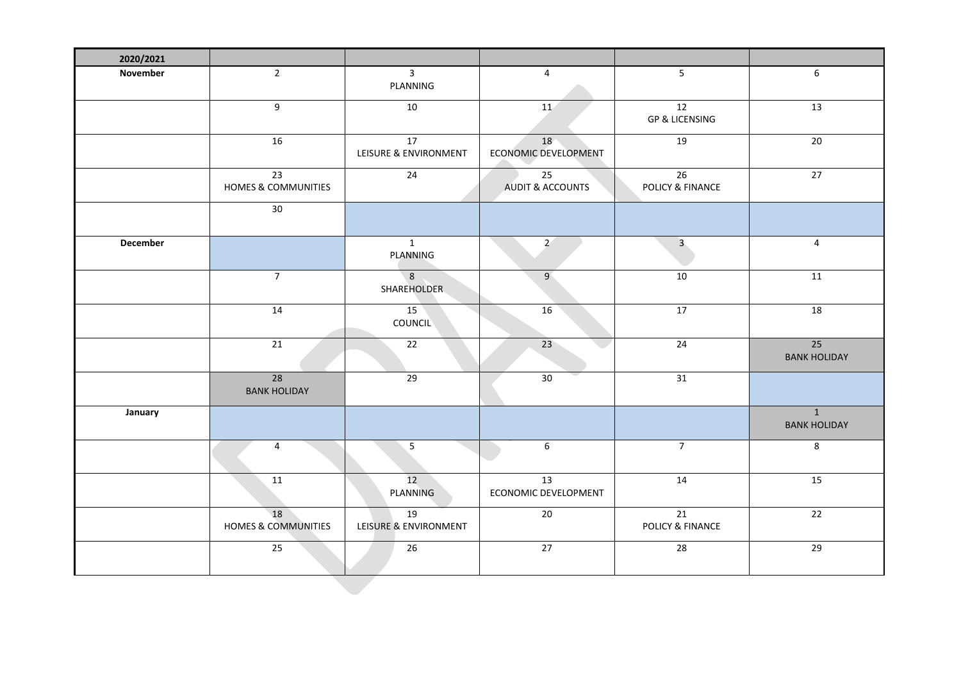| 2020/2021       |                                        |                                          |                                   |                                     |                                       |
|-----------------|----------------------------------------|------------------------------------------|-----------------------------------|-------------------------------------|---------------------------------------|
| November        | $\overline{2}$                         | $\overline{3}$<br>PLANNING               | $\overline{4}$                    | $5\overline{)}$                     | $\boldsymbol{6}$                      |
|                 | 9                                      | 10                                       | 11                                | 12<br><b>GP &amp; LICENSING</b>     | 13                                    |
|                 | 16                                     | $\overline{17}$<br>LEISURE & ENVIRONMENT | 18<br><b>ECONOMIC DEVELOPMENT</b> | 19                                  | 20                                    |
|                 | $\overline{23}$<br>HOMES & COMMUNITIES | 24                                       | 25<br><b>AUDIT &amp; ACCOUNTS</b> | $\overline{26}$<br>POLICY & FINANCE | 27                                    |
|                 | $30\,$                                 |                                          |                                   |                                     |                                       |
| <b>December</b> |                                        | $\overline{1}$<br>PLANNING               | $\overline{2}$                    | $\overline{\mathbf{3}}$             | $\overline{4}$                        |
|                 | $\overline{7}$                         | 8<br><b>SHAREHOLDER</b>                  | $\overline{9}$                    | 10                                  | 11                                    |
|                 | 14                                     | 15<br><b>COUNCIL</b>                     | 16                                | 17                                  | 18                                    |
|                 | 21                                     | 22                                       | 23                                | 24                                  | 25<br><b>BANK HOLIDAY</b>             |
|                 | 28<br><b>BANK HOLIDAY</b>              | 29                                       | 30                                | 31                                  |                                       |
| January         |                                        |                                          |                                   |                                     | $\overline{1}$<br><b>BANK HOLIDAY</b> |
|                 | 4                                      | $\overline{5}$                           | 6                                 | $\overline{7}$                      | $\bf 8$                               |
|                 | 11                                     | 12<br>PLANNING                           | 13<br>ECONOMIC DEVELOPMENT        | 14                                  | 15                                    |
|                 | 18<br><b>HOMES &amp; COMMUNITIES</b>   | 19<br>LEISURE & ENVIRONMENT              | 20                                | 21<br>POLICY & FINANCE              | 22                                    |
|                 | 25                                     | 26                                       | 27                                | $\overline{28}$                     | 29                                    |
|                 |                                        |                                          |                                   |                                     |                                       |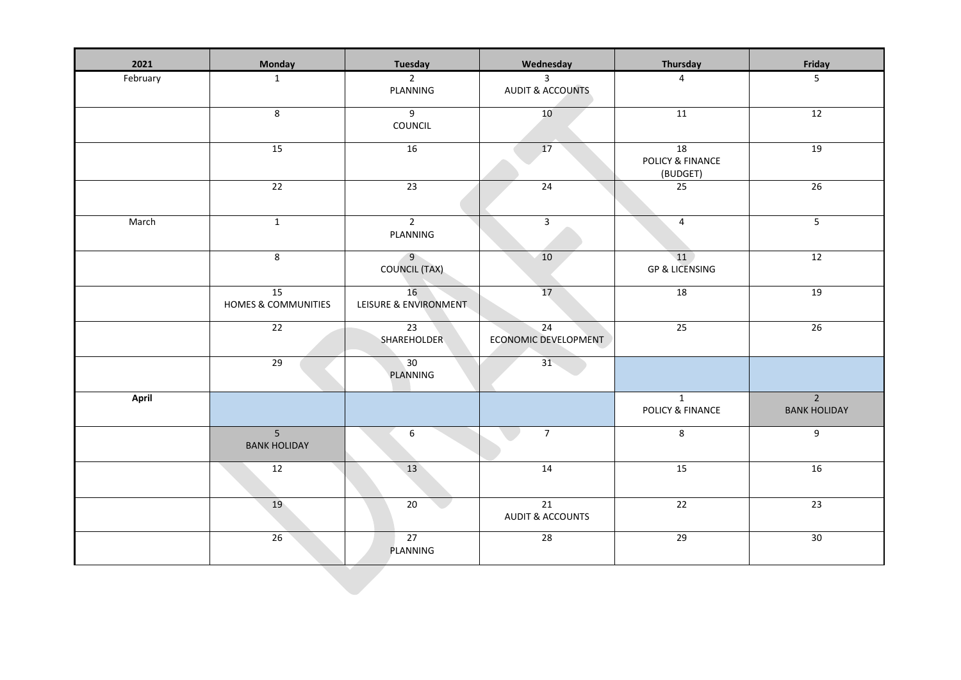| 2021         | <b>Monday</b>                         | <b>Tuesday</b>                         | Wednesday                                      | Thursday                           | Friday                                |
|--------------|---------------------------------------|----------------------------------------|------------------------------------------------|------------------------------------|---------------------------------------|
| February     | $\mathbf{1}$                          | $\overline{2}$<br>PLANNING             | $\mathbf{3}$<br><b>AUDIT &amp; ACCOUNTS</b>    | $\overline{4}$                     | 5                                     |
|              | 8                                     | $\overline{9}$<br>COUNCIL              | 10 <sup>°</sup>                                | 11                                 | 12                                    |
|              | 15                                    | 16                                     | 17                                             | 18<br>POLICY & FINANCE<br>(BUDGET) | 19                                    |
|              | $\overline{22}$                       | $\overline{23}$                        | 24                                             | $\overline{25}$                    | 26                                    |
| March        | $\overline{1}$                        | $\overline{2}$<br>PLANNING             | $\overline{\mathbf{3}}$                        | $\overline{4}$                     | $5\phantom{.}$                        |
|              | 8                                     | $\overline{9}$<br><b>COUNCIL (TAX)</b> | 10                                             | 11<br><b>GP &amp; LICENSING</b>    | 12                                    |
|              | 15<br><b>HOMES &amp; COMMUNITIES</b>  | 16<br>LEISURE & ENVIRONMENT            | 17                                             | 18                                 | 19                                    |
|              | 22                                    | $\overline{23}$<br>SHAREHOLDER         | 24<br>ECONOMIC DEVELOPMENT                     | 25                                 | 26                                    |
|              | $\overline{29}$                       | 30<br>PLANNING                         | $31 -$                                         |                                    |                                       |
| <b>April</b> |                                       |                                        |                                                | $\mathbf{1}$<br>POLICY & FINANCE   | $\overline{2}$<br><b>BANK HOLIDAY</b> |
|              | 5 <sup>1</sup><br><b>BANK HOLIDAY</b> | $6\,$                                  | $\overline{7}$                                 | 8                                  | $\overline{9}$                        |
|              | 12                                    | 13                                     | 14                                             | 15                                 | 16                                    |
|              | 19                                    | 20                                     | $\overline{21}$<br><b>AUDIT &amp; ACCOUNTS</b> | $\overline{22}$                    | 23                                    |
|              | 26                                    | 27<br>PLANNING                         | 28                                             | 29                                 | 30                                    |
|              |                                       |                                        |                                                |                                    |                                       |